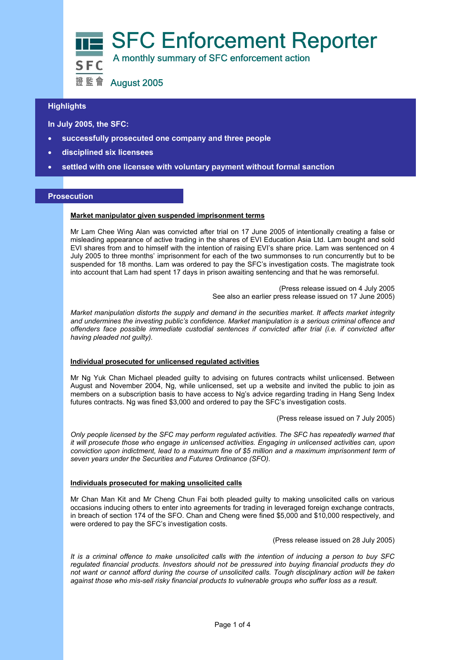

# **Highlights**

 **In July 2005, the SFC:** 

- **successfully prosecuted one company and three people**
- **disciplined six licensees**
- **settled with one licensee with voluntary payment without formal sanction**

## **Prosecution**

## **Market manipulator given suspended imprisonment terms**

Mr Lam Chee Wing Alan was convicted after trial on 17 June 2005 of intentionally creating a false or misleading appearance of active trading in the shares of EVI Education Asia Ltd. Lam bought and sold EVI shares from and to himself with the intention of raising EVI's share price. Lam was sentenced on 4 July 2005 to three months' imprisonment for each of the two summonses to run concurrently but to be suspended for 18 months. Lam was ordered to pay the SFC's investigation costs. The magistrate took into account that Lam had spent 17 days in prison awaiting sentencing and that he was remorseful.

> (Press release issued on 4 July 2005 See also an earlier press release issued on 17 June 2005)

*Market manipulation distorts the supply and demand in the securities market. It affects market integrity and undermines the investing public's confidence. Market manipulation is a serious criminal offence and offenders face possible immediate custodial sentences if convicted after trial (i.e. if convicted after having pleaded not guilty).* 

#### **Individual prosecuted for unlicensed regulated activities**

Mr Ng Yuk Chan Michael pleaded guilty to advising on futures contracts whilst unlicensed. Between August and November 2004, Ng, while unlicensed, set up a website and invited the public to join as members on a subscription basis to have access to Ng's advice regarding trading in Hang Seng Index futures contracts. Ng was fined \$3,000 and ordered to pay the SFC's investigation costs.

(Press release issued on 7 July 2005)

*Only people licensed by the SFC may perform regulated activities. The SFC has repeatedly warned that it will prosecute those who engage in unlicensed activities. Engaging in unlicensed activities can, upon conviction upon indictment, lead to a maximum fine of \$5 million and a maximum imprisonment term of seven years under the Securities and Futures Ordinance (SFO).* 

### **Individuals prosecuted for making unsolicited calls**

Mr Chan Man Kit and Mr Cheng Chun Fai both pleaded guilty to making unsolicited calls on various occasions inducing others to enter into agreements for trading in leveraged foreign exchange contracts, in breach of section 174 of the SFO. Chan and Cheng were fined \$5,000 and \$10,000 respectively, and were ordered to pay the SFC's investigation costs.

(Press release issued on 28 July 2005)

*It is a criminal offence to make unsolicited calls with the intention of inducing a person to buy SFC regulated financial products. Investors should not be pressured into buying financial products they do not want or cannot afford during the course of unsolicited calls. Tough disciplinary action will be taken against those who mis-sell risky financial products to vulnerable groups who suffer loss as a result.*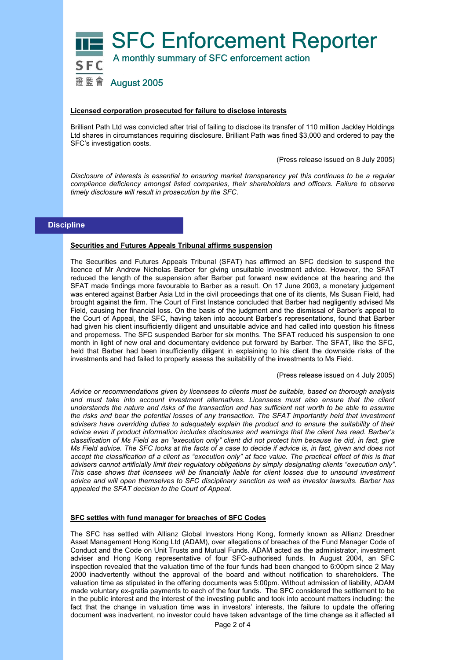

## **Licensed corporation prosecuted for failure to disclose interests**

Brilliant Path Ltd was convicted after trial of failing to disclose its transfer of 110 million Jackley Holdings Ltd shares in circumstances requiring disclosure. Brilliant Path was fined \$3,000 and ordered to pay the SFC's investigation costs.

(Press release issued on 8 July 2005)

*Disclosure of interests is essential to ensuring market transparency yet this continues to be a regular compliance deficiency amongst listed companies, their shareholders and officers. Failure to observe timely disclosure will result in prosecution by the SFC.* 

## **Discipline**

#### **Securities and Futures Appeals Tribunal affirms suspension**

The Securities and Futures Appeals Tribunal (SFAT) has affirmed an SFC decision to suspend the licence of Mr Andrew Nicholas Barber for giving unsuitable investment advice. However, the SFAT reduced the length of the suspension after Barber put forward new evidence at the hearing and the SFAT made findings more favourable to Barber as a result. On 17 June 2003, a monetary judgement was entered against Barber Asia Ltd in the civil proceedings that one of its clients, Ms Susan Field, had brought against the firm. The Court of First Instance concluded that Barber had negligently advised Ms Field, causing her financial loss. On the basis of the judgment and the dismissal of Barber's appeal to the Court of Appeal, the SFC, having taken into account Barber's representations, found that Barber had given his client insufficiently diligent and unsuitable advice and had called into question his fitness and properness. The SFC suspended Barber for six months. The SFAT reduced his suspension to one month in light of new oral and documentary evidence put forward by Barber. The SFAT, like the SFC, held that Barber had been insufficiently diligent in explaining to his client the downside risks of the investments and had failed to properly assess the suitability of the investments to Ms Field.

(Press release issued on 4 July 2005)

*Advice or recommendations given by licensees to clients must be suitable, based on thorough analysis and must take into account investment alternatives. Licensees must also ensure that the client understands the nature and risks of the transaction and has sufficient net worth to be able to assume the risks and bear the potential losses of any transaction. The SFAT importantly held that investment advisers have overriding duties to adequately explain the product and to ensure the suitability of their advice even if product information includes disclosures and warnings that the client has read. Barber's classification of Ms Field as an "execution only" client did not protect him because he did, in fact, give Ms Field advice. The SFC looks at the facts of a case to decide if advice is, in fact, given and does not accept the classification of a client as "execution only" at face value. The practical effect of this is that advisers cannot artificially limit their regulatory obligations by simply designating clients "execution only". This case shows that licensees will be financially liable for client losses due to unsound investment advice and will open themselves to SFC disciplinary sanction as well as investor lawsuits. Barber has appealed the SFAT decision to the Court of Appeal.* 

#### **SFC settles with fund manager for breaches of SFC Codes**

The SFC has settled with Allianz Global Investors Hong Kong, formerly known as Allianz Dresdner Asset Management Hong Kong Ltd (ADAM), over allegations of breaches of the Fund Manager Code of Conduct and the Code on Unit Trusts and Mutual Funds. ADAM acted as the administrator, investment adviser and Hong Kong representative of four SFC-authorised funds. In August 2004, an SFC inspection revealed that the valuation time of the four funds had been changed to 6:00pm since 2 May 2000 inadvertently without the approval of the board and without notification to shareholders. The valuation time as stipulated in the offering documents was 5:00pm. Without admission of liability, ADAM made voluntary ex-gratia payments to each of the four funds. The SFC considered the settlement to be in the public interest and the interest of the investing public and took into account matters including: the fact that the change in valuation time was in investors' interests, the failure to update the offering document was inadvertent, no investor could have taken advantage of the time change as it affected all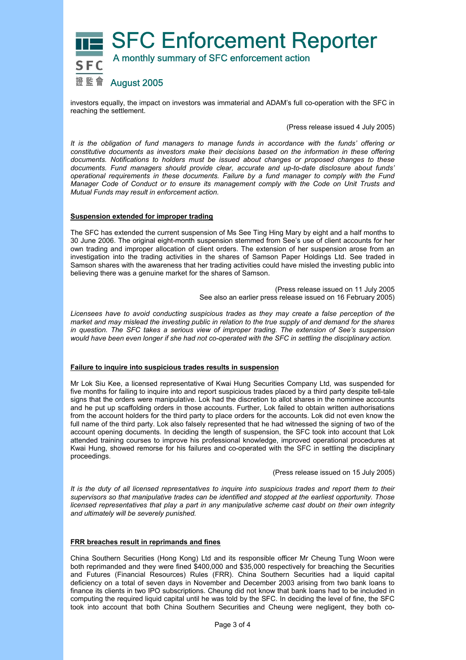

investors equally, the impact on investors was immaterial and ADAM's full co-operation with the SFC in reaching the settlement.

(Press release issued 4 July 2005)

*It is the obligation of fund managers to manage funds in accordance with the funds' offering or constitutive documents as investors make their decisions based on the information in these offering documents. Notifications to holders must be issued about changes or proposed changes to these documents. Fund managers should provide clear, accurate and up-to-date disclosure about funds' operational requirements in these documents. Failure by a fund manager to comply with the Fund Manager Code of Conduct or to ensure its management comply with the Code on Unit Trusts and Mutual Funds may result in enforcement action.* 

## **Suspension extended for improper trading**

The SFC has extended the current suspension of Ms See Ting Hing Mary by eight and a half months to 30 June 2006. The original eight-month suspension stemmed from See's use of client accounts for her own trading and improper allocation of client orders. The extension of her suspension arose from an investigation into the trading activities in the shares of Samson Paper Holdings Ltd. See traded in Samson shares with the awareness that her trading activities could have misled the investing public into believing there was a genuine market for the shares of Samson.

> (Press release issued on 11 July 2005 See also an earlier press release issued on 16 February 2005)

*Licensees have to avoid conducting suspicious trades as they may create a false perception of the market and may mislead the investing public in relation to the true supply of and demand for the shares in question. The SFC takes a serious view of improper trading. The extension of See's suspension would have been even longer if she had not co-operated with the SFC in settling the disciplinary action.* 

#### **Failure to inquire into suspicious trades results in suspension**

Mr Lok Siu Kee, a licensed representative of Kwai Hung Securities Company Ltd, was suspended for five months for failing to inquire into and report suspicious trades placed by a third party despite tell-tale signs that the orders were manipulative. Lok had the discretion to allot shares in the nominee accounts and he put up scaffolding orders in those accounts. Further, Lok failed to obtain written authorisations from the account holders for the third party to place orders for the accounts. Lok did not even know the full name of the third party. Lok also falsely represented that he had witnessed the signing of two of the account opening documents. In deciding the length of suspension, the SFC took into account that Lok attended training courses to improve his professional knowledge, improved operational procedures at Kwai Hung, showed remorse for his failures and co-operated with the SFC in settling the disciplinary proceedings.

(Press release issued on 15 July 2005)

*It is the duty of all licensed representatives to inquire into suspicious trades and report them to their supervisors so that manipulative trades can be identified and stopped at the earliest opportunity. Those licensed representatives that play a part in any manipulative scheme cast doubt on their own integrity and ultimately will be severely punished.* 

## **FRR breaches result in reprimands and fines**

China Southern Securities (Hong Kong) Ltd and its responsible officer Mr Cheung Tung Woon were both reprimanded and they were fined \$400,000 and \$35,000 respectively for breaching the Securities and Futures (Financial Resources) Rules (FRR). China Southern Securities had a liquid capital deficiency on a total of seven days in November and December 2003 arising from two bank loans to finance its clients in two IPO subscriptions. Cheung did not know that bank loans had to be included in computing the required liquid capital until he was told by the SFC. In deciding the level of fine, the SFC took into account that both China Southern Securities and Cheung were negligent, they both co-